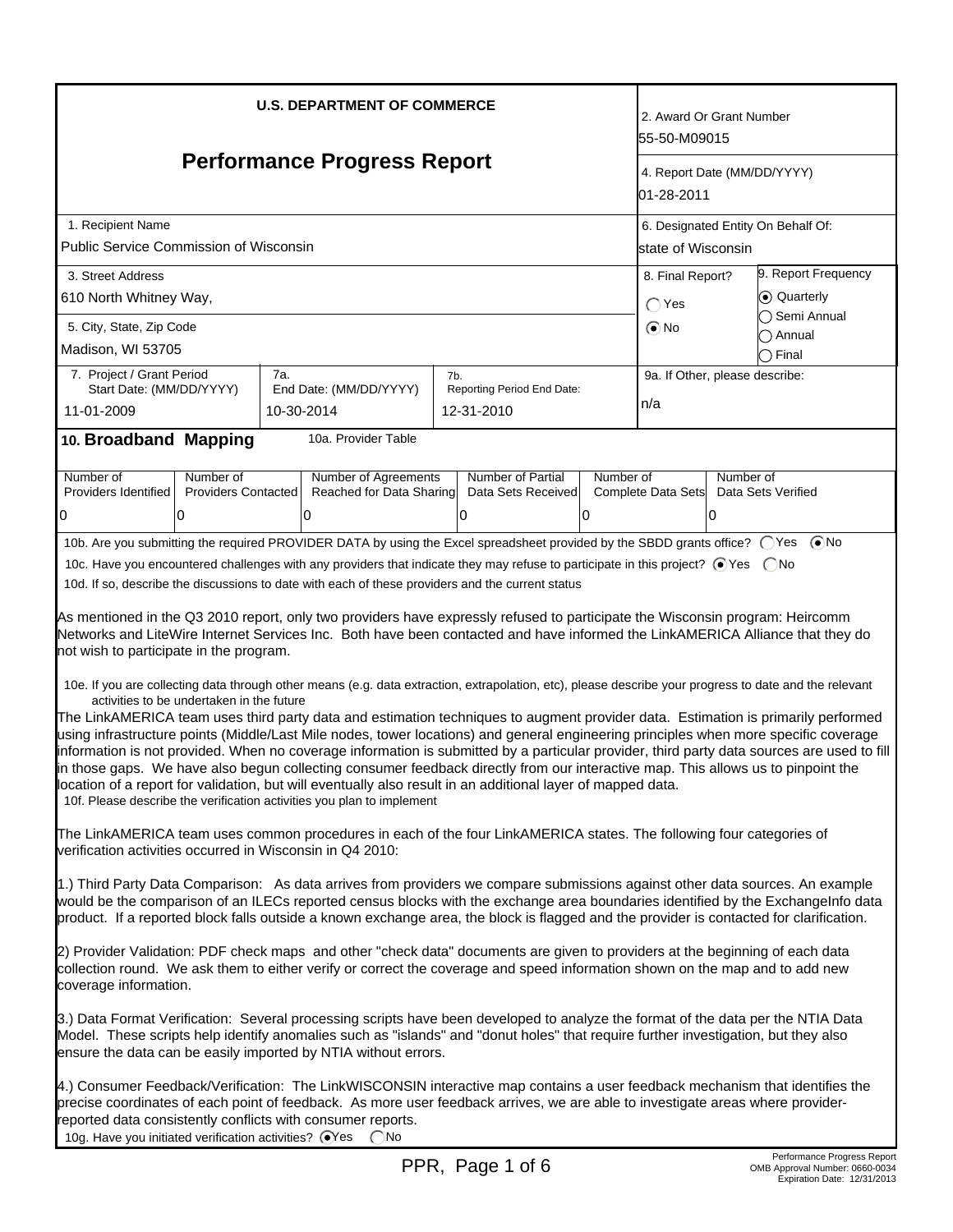| <b>U.S. DEPARTMENT OF COMMERCE</b>                                                                                                                                                                                                                                                                                                                                                                                                                                                                                                                                                                                                                                                                                                                                                                                                                                                                                                                                                                                                                                                                                                                                                                                                                                                                                                                                                                                                                                                                                                                              |                                 |     |                                                                                                                                  |     |                                          |           | 2. Award Or Grant Number<br>55-50-M09015                  |                     |                                |
|-----------------------------------------------------------------------------------------------------------------------------------------------------------------------------------------------------------------------------------------------------------------------------------------------------------------------------------------------------------------------------------------------------------------------------------------------------------------------------------------------------------------------------------------------------------------------------------------------------------------------------------------------------------------------------------------------------------------------------------------------------------------------------------------------------------------------------------------------------------------------------------------------------------------------------------------------------------------------------------------------------------------------------------------------------------------------------------------------------------------------------------------------------------------------------------------------------------------------------------------------------------------------------------------------------------------------------------------------------------------------------------------------------------------------------------------------------------------------------------------------------------------------------------------------------------------|---------------------------------|-----|----------------------------------------------------------------------------------------------------------------------------------|-----|------------------------------------------|-----------|-----------------------------------------------------------|---------------------|--------------------------------|
| <b>Performance Progress Report</b>                                                                                                                                                                                                                                                                                                                                                                                                                                                                                                                                                                                                                                                                                                                                                                                                                                                                                                                                                                                                                                                                                                                                                                                                                                                                                                                                                                                                                                                                                                                              |                                 |     |                                                                                                                                  |     |                                          |           | 4. Report Date (MM/DD/YYYY)<br>01-28-2011                 |                     |                                |
| 1. Recipient Name<br>Public Service Commission of Wisconsin                                                                                                                                                                                                                                                                                                                                                                                                                                                                                                                                                                                                                                                                                                                                                                                                                                                                                                                                                                                                                                                                                                                                                                                                                                                                                                                                                                                                                                                                                                     |                                 |     |                                                                                                                                  |     |                                          |           | 6. Designated Entity On Behalf Of:<br>lstate of Wisconsin |                     |                                |
| 3. Street Address                                                                                                                                                                                                                                                                                                                                                                                                                                                                                                                                                                                                                                                                                                                                                                                                                                                                                                                                                                                                                                                                                                                                                                                                                                                                                                                                                                                                                                                                                                                                               |                                 |     |                                                                                                                                  |     |                                          |           | 8. Final Report?                                          | 9. Report Frequency |                                |
| 610 North Whitney Way,                                                                                                                                                                                                                                                                                                                                                                                                                                                                                                                                                                                                                                                                                                                                                                                                                                                                                                                                                                                                                                                                                                                                                                                                                                                                                                                                                                                                                                                                                                                                          |                                 |     |                                                                                                                                  |     |                                          |           | $\bigcap$ Yes                                             | C Quarterly         |                                |
| 5. City, State, Zip Code<br>Madison, WI 53705                                                                                                                                                                                                                                                                                                                                                                                                                                                                                                                                                                                                                                                                                                                                                                                                                                                                                                                                                                                                                                                                                                                                                                                                                                                                                                                                                                                                                                                                                                                   |                                 |     |                                                                                                                                  |     |                                          |           | $\odot$ No                                                |                     | Semi Annual<br>Annual<br>Final |
| 7. Project / Grant Period                                                                                                                                                                                                                                                                                                                                                                                                                                                                                                                                                                                                                                                                                                                                                                                                                                                                                                                                                                                                                                                                                                                                                                                                                                                                                                                                                                                                                                                                                                                                       |                                 | 7а. |                                                                                                                                  | 7b. |                                          |           | 9a. If Other, please describe:                            |                     |                                |
| Start Date: (MM/DD/YYYY)<br>11-01-2009                                                                                                                                                                                                                                                                                                                                                                                                                                                                                                                                                                                                                                                                                                                                                                                                                                                                                                                                                                                                                                                                                                                                                                                                                                                                                                                                                                                                                                                                                                                          |                                 |     | End Date: (MM/DD/YYYY)<br>10-30-2014                                                                                             |     | Reporting Period End Date:<br>12-31-2010 |           | n/a                                                       |                     |                                |
| 10. Broadband Mapping                                                                                                                                                                                                                                                                                                                                                                                                                                                                                                                                                                                                                                                                                                                                                                                                                                                                                                                                                                                                                                                                                                                                                                                                                                                                                                                                                                                                                                                                                                                                           |                                 |     | 10a. Provider Table                                                                                                              |     |                                          |           |                                                           |                     |                                |
| Number of                                                                                                                                                                                                                                                                                                                                                                                                                                                                                                                                                                                                                                                                                                                                                                                                                                                                                                                                                                                                                                                                                                                                                                                                                                                                                                                                                                                                                                                                                                                                                       | Number of                       |     | Number of Agreements                                                                                                             |     | Number of Partial                        | Number of |                                                           | Number of           |                                |
| Providers Identified<br>0                                                                                                                                                                                                                                                                                                                                                                                                                                                                                                                                                                                                                                                                                                                                                                                                                                                                                                                                                                                                                                                                                                                                                                                                                                                                                                                                                                                                                                                                                                                                       | <b>Providers Contacted</b><br>0 |     | Reached for Data Sharing<br>10                                                                                                   |     | Data Sets Received<br>O                  | 0         | Complete Data Sets                                        | 0                   | Data Sets Verified             |
|                                                                                                                                                                                                                                                                                                                                                                                                                                                                                                                                                                                                                                                                                                                                                                                                                                                                                                                                                                                                                                                                                                                                                                                                                                                                                                                                                                                                                                                                                                                                                                 |                                 |     | 10b. Are you submitting the required PROVIDER DATA by using the Excel spreadsheet provided by the SBDD grants office? ○ Yes ● No |     |                                          |           |                                                           |                     |                                |
| 10d. If so, describe the discussions to date with each of these providers and the current status<br>As mentioned in the Q3 2010 report, only two providers have expressly refused to participate the Wisconsin program: Heircomm<br>Networks and LiteWire Internet Services Inc. Both have been contacted and have informed the LinkAMERICA Alliance that they do<br>not wish to participate in the program.<br>10e. If you are collecting data through other means (e.g. data extraction, extrapolation, etc), please describe your progress to date and the relevant<br>activities to be undertaken in the future<br>The LinkAMERICA team uses third party data and estimation techniques to augment provider data. Estimation is primarily performed<br>using infrastructure points (Middle/Last Mile nodes, tower locations) and general engineering principles when more specific coverage<br>information is not provided. When no coverage information is submitted by a particular provider, third party data sources are used to fill<br>in those gaps. We have also begun collecting consumer feedback directly from our interactive map. This allows us to pinpoint the<br>location of a report for validation, but will eventually also result in an additional layer of mapped data.<br>10f. Please describe the verification activities you plan to implement<br>The LinkAMERICA team uses common procedures in each of the four LinkAMERICA states. The following four categories of<br>verification activities occurred in Wisconsin in Q4 2010: |                                 |     |                                                                                                                                  |     |                                          |           |                                                           |                     |                                |
| 1.) Third Party Data Comparison: As data arrives from providers we compare submissions against other data sources. An example<br>would be the comparison of an ILECs reported census blocks with the exchange area boundaries identified by the ExchangeInfo data<br>product. If a reported block falls outside a known exchange area, the block is flagged and the provider is contacted for clarification.<br>2) Provider Validation: PDF check maps and other "check data" documents are given to providers at the beginning of each data<br>collection round. We ask them to either verify or correct the coverage and speed information shown on the map and to add new<br>coverage information.<br>3.) Data Format Verification: Several processing scripts have been developed to analyze the format of the data per the NTIA Data<br>Model. These scripts help identify anomalies such as "islands" and "donut holes" that require further investigation, but they also<br>ensure the data can be easily imported by NTIA without errors.<br>4.) Consumer Feedback/Verification: The LinkWISCONSIN interactive map contains a user feedback mechanism that identifies the<br>precise coordinates of each point of feedback. As more user feedback arrives, we are able to investigate areas where provider-<br>reported data consistently conflicts with consumer reports.                                                                                                                                                                              |                                 |     |                                                                                                                                  |     |                                          |           |                                                           |                     |                                |
| 10g. Have you initiated verification activities? @Yes                                                                                                                                                                                                                                                                                                                                                                                                                                                                                                                                                                                                                                                                                                                                                                                                                                                                                                                                                                                                                                                                                                                                                                                                                                                                                                                                                                                                                                                                                                           |                                 |     | )No                                                                                                                              |     |                                          |           |                                                           |                     | Performance Progress Report    |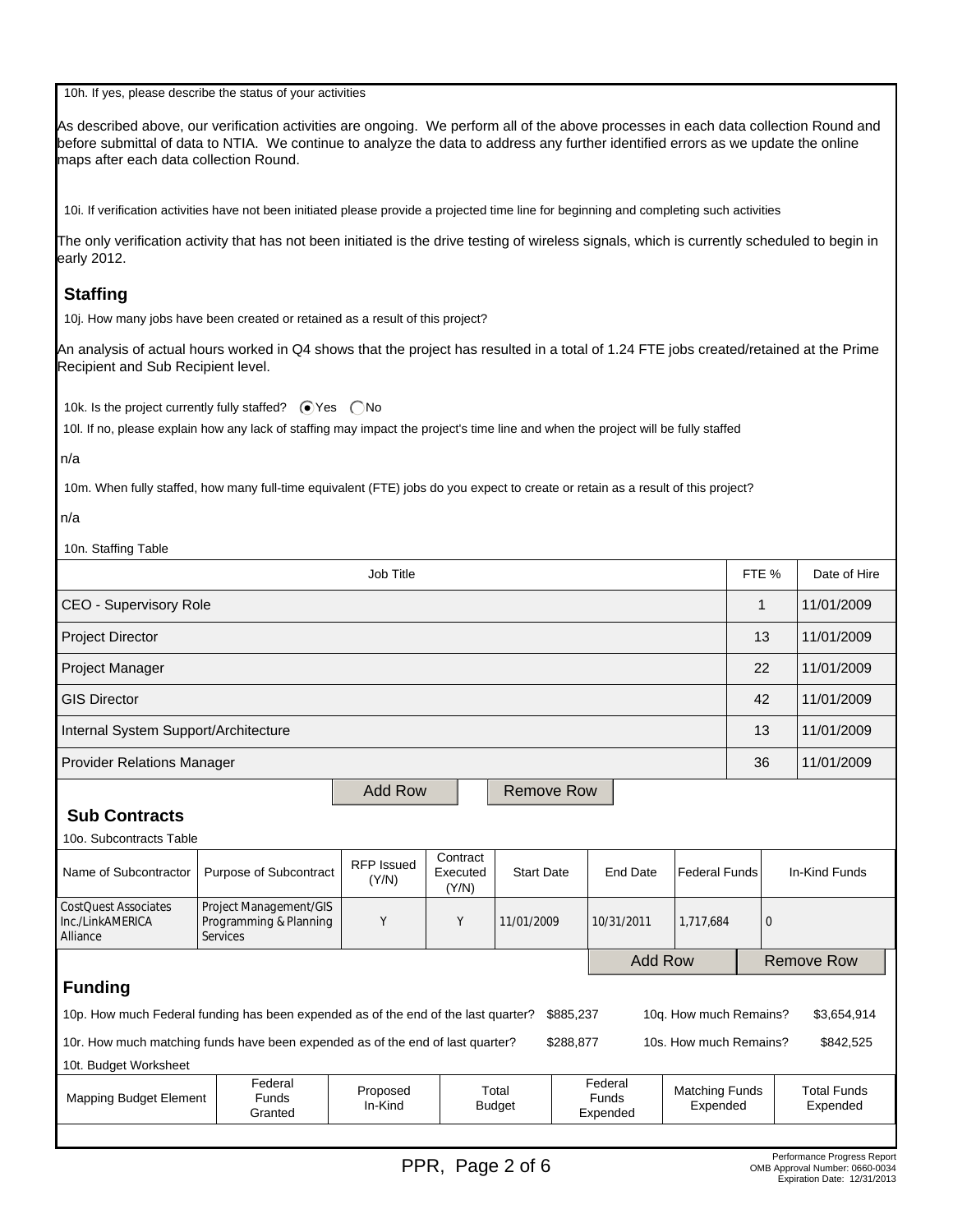| 10h. If yes, please describe the status of your activities                                                                                                                                                                                                                                                           |                                                                                                                                               |                            |                                                                                                    |                   |  |                 |                                |                |  |                   |
|----------------------------------------------------------------------------------------------------------------------------------------------------------------------------------------------------------------------------------------------------------------------------------------------------------------------|-----------------------------------------------------------------------------------------------------------------------------------------------|----------------------------|----------------------------------------------------------------------------------------------------|-------------------|--|-----------------|--------------------------------|----------------|--|-------------------|
| As described above, our verification activities are ongoing. We perform all of the above processes in each data collection Round and<br>before submittal of data to NTIA. We continue to analyze the data to address any further identified errors as we update the online<br>maps after each data collection Round. |                                                                                                                                               |                            |                                                                                                    |                   |  |                 |                                |                |  |                   |
| 10i. If verification activities have not been initiated please provide a projected time line for beginning and completing such activities                                                                                                                                                                            |                                                                                                                                               |                            |                                                                                                    |                   |  |                 |                                |                |  |                   |
| early 2012.                                                                                                                                                                                                                                                                                                          | The only verification activity that has not been initiated is the drive testing of wireless signals, which is currently scheduled to begin in |                            |                                                                                                    |                   |  |                 |                                |                |  |                   |
| <b>Staffing</b>                                                                                                                                                                                                                                                                                                      |                                                                                                                                               |                            |                                                                                                    |                   |  |                 |                                |                |  |                   |
| 10j. How many jobs have been created or retained as a result of this project?                                                                                                                                                                                                                                        |                                                                                                                                               |                            |                                                                                                    |                   |  |                 |                                |                |  |                   |
| An analysis of actual hours worked in Q4 shows that the project has resulted in a total of 1.24 FTE jobs created/retained at the Prime<br>Recipient and Sub Recipient level.                                                                                                                                         |                                                                                                                                               |                            |                                                                                                    |                   |  |                 |                                |                |  |                   |
| 10k. Is the project currently fully staffed? ● Yes ● No<br>10l. If no, please explain how any lack of staffing may impact the project's time line and when the project will be fully staffed                                                                                                                         |                                                                                                                                               |                            |                                                                                                    |                   |  |                 |                                |                |  |                   |
| n/a                                                                                                                                                                                                                                                                                                                  |                                                                                                                                               |                            |                                                                                                    |                   |  |                 |                                |                |  |                   |
| 10m. When fully staffed, how many full-time equivalent (FTE) jobs do you expect to create or retain as a result of this project?                                                                                                                                                                                     |                                                                                                                                               |                            |                                                                                                    |                   |  |                 |                                |                |  |                   |
| n/a                                                                                                                                                                                                                                                                                                                  |                                                                                                                                               |                            |                                                                                                    |                   |  |                 |                                |                |  |                   |
| 10n. Staffing Table                                                                                                                                                                                                                                                                                                  |                                                                                                                                               |                            |                                                                                                    |                   |  |                 |                                |                |  |                   |
|                                                                                                                                                                                                                                                                                                                      | Job Title<br>FTE %<br>Date of Hire                                                                                                            |                            |                                                                                                    |                   |  |                 |                                |                |  |                   |
|                                                                                                                                                                                                                                                                                                                      | CEO - Supervisory Role<br>11/01/2009<br>1                                                                                                     |                            |                                                                                                    |                   |  |                 |                                |                |  |                   |
| <b>Project Director</b>                                                                                                                                                                                                                                                                                              | 11/01/2009<br>13                                                                                                                              |                            |                                                                                                    |                   |  |                 |                                |                |  |                   |
| Project Manager                                                                                                                                                                                                                                                                                                      | 11/01/2009<br>22                                                                                                                              |                            |                                                                                                    |                   |  |                 |                                |                |  |                   |
| <b>GIS Director</b>                                                                                                                                                                                                                                                                                                  |                                                                                                                                               |                            |                                                                                                    |                   |  |                 |                                | 42             |  | 11/01/2009        |
| Internal System Support/Architecture                                                                                                                                                                                                                                                                                 |                                                                                                                                               |                            |                                                                                                    |                   |  |                 |                                | 13             |  | 11/01/2009        |
| <b>Provider Relations Manager</b>                                                                                                                                                                                                                                                                                    |                                                                                                                                               |                            |                                                                                                    |                   |  |                 |                                | 36             |  | 11/01/2009        |
|                                                                                                                                                                                                                                                                                                                      |                                                                                                                                               | <b>Add Row</b>             |                                                                                                    | <b>Remove Row</b> |  |                 |                                |                |  |                   |
| <b>Sub Contracts</b>                                                                                                                                                                                                                                                                                                 |                                                                                                                                               |                            |                                                                                                    |                   |  |                 |                                |                |  |                   |
| 10o. Subcontracts Table                                                                                                                                                                                                                                                                                              |                                                                                                                                               |                            | Contract                                                                                           |                   |  |                 |                                |                |  |                   |
| Name of Subcontractor                                                                                                                                                                                                                                                                                                | Purpose of Subcontract                                                                                                                        | <b>RFP Issued</b><br>(Y/N) | Executed<br>(Y/N)                                                                                  | <b>Start Date</b> |  | <b>End Date</b> | <b>Federal Funds</b>           |                |  | In-Kind Funds     |
| CostQuest Associates<br>Inc./LinkAMERICA<br>Alliance                                                                                                                                                                                                                                                                 | Project Management/GIS<br>Programming & Planning<br><b>Services</b>                                                                           | Υ                          | Υ                                                                                                  | 11/01/2009        |  | 10/31/2011      | 1,717,684                      | $\overline{0}$ |  |                   |
|                                                                                                                                                                                                                                                                                                                      |                                                                                                                                               |                            |                                                                                                    |                   |  | <b>Add Row</b>  |                                |                |  | <b>Remove Row</b> |
| <b>Funding</b>                                                                                                                                                                                                                                                                                                       |                                                                                                                                               |                            |                                                                                                    |                   |  |                 |                                |                |  |                   |
| 10p. How much Federal funding has been expended as of the end of the last quarter?<br>\$885,237<br>10q. How much Remains?<br>\$3,654,914                                                                                                                                                                             |                                                                                                                                               |                            |                                                                                                    |                   |  |                 |                                |                |  |                   |
| 10r. How much matching funds have been expended as of the end of last quarter?<br>\$288,877<br>10s. How much Remains?<br>\$842,525                                                                                                                                                                                   |                                                                                                                                               |                            |                                                                                                    |                   |  |                 |                                |                |  |                   |
| 10t. Budget Worksheet                                                                                                                                                                                                                                                                                                |                                                                                                                                               |                            |                                                                                                    |                   |  |                 |                                |                |  |                   |
| <b>Mapping Budget Element</b>                                                                                                                                                                                                                                                                                        | Federal<br><b>Funds</b><br>Granted                                                                                                            | Proposed<br>In-Kind        | Federal<br>Total<br><b>Matching Funds</b><br><b>Funds</b><br><b>Budget</b><br>Expended<br>Expended |                   |  |                 | <b>Total Funds</b><br>Expended |                |  |                   |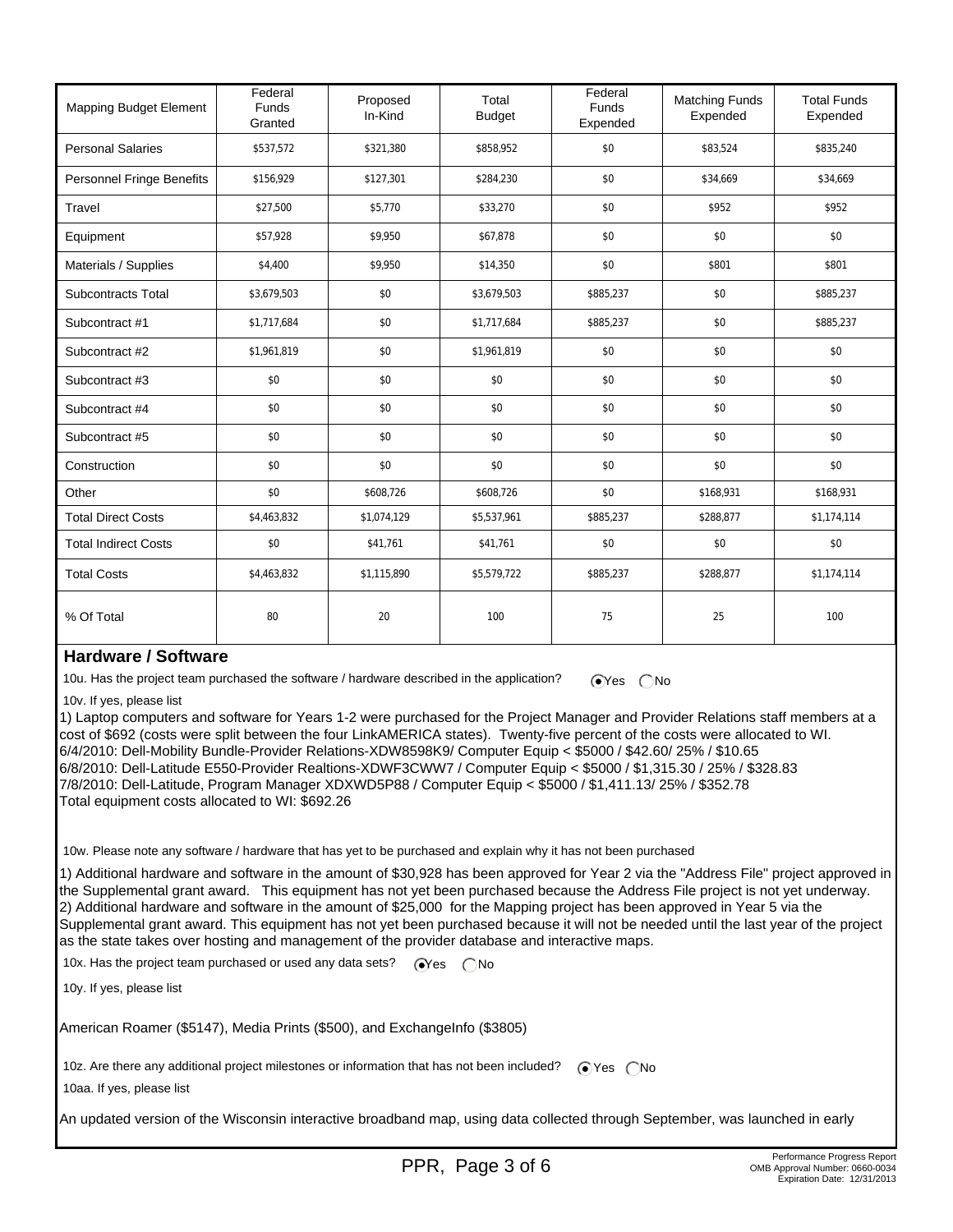| <b>Mapping Budget Element</b>    | Federal<br><b>Funds</b><br>Granted | Proposed<br>In-Kind | Total<br><b>Budget</b> | Federal<br>Funds<br>Expended | <b>Matching Funds</b><br>Expended | <b>Total Funds</b><br>Expended |
|----------------------------------|------------------------------------|---------------------|------------------------|------------------------------|-----------------------------------|--------------------------------|
| <b>Personal Salaries</b>         | \$537,572                          | \$321,380           | \$858,952              | \$0                          | \$83,524                          | \$835,240                      |
| <b>Personnel Fringe Benefits</b> | \$156,929                          | \$127,301           | \$284,230              | \$0                          | \$34,669                          | \$34,669                       |
| Travel                           | \$27,500                           | \$5,770             | \$33,270               | \$0                          | \$952                             | \$952                          |
| Equipment                        | \$57,928                           | \$9,950             | \$67,878               | \$0                          | \$0                               | \$0                            |
| Materials / Supplies             | \$4,400                            | \$9,950             | \$14,350               | \$0                          | \$801                             | \$801                          |
| <b>Subcontracts Total</b>        | \$3,679,503                        | \$0                 | \$3,679,503            | \$885,237                    | \$0                               | \$885,237                      |
| Subcontract #1                   | \$1,717,684                        | \$0                 | \$1,717,684            | \$885,237                    | \$0                               | \$885,237                      |
| Subcontract #2                   | \$1,961,819                        | \$0                 | \$1,961,819            | \$0                          | \$0                               | \$0                            |
| Subcontract #3                   | \$0                                | \$0                 | \$0                    | \$0                          | \$0                               | \$0                            |
| Subcontract #4                   | \$0                                | \$0                 | \$0                    | \$0                          | \$0                               | \$0                            |
| Subcontract #5                   | \$0                                | \$0                 | \$0                    | \$0                          | \$0                               | \$0                            |
| Construction                     | \$0                                | \$0                 | \$0                    | \$0                          | \$0                               | \$0                            |
| Other                            | \$0                                | \$608,726           | \$608,726              | \$0                          | \$168,931                         | \$168,931                      |
| <b>Total Direct Costs</b>        | \$4,463,832                        | \$1,074,129         | \$5,537,961            | \$885,237                    | \$288,877                         | \$1,174,114                    |
| <b>Total Indirect Costs</b>      | \$0                                | \$41,761            | \$41,761               | \$0                          | \$0                               | \$0                            |
| <b>Total Costs</b>               | \$4,463,832                        | \$1,115,890         | \$5,579,722            | \$885,237                    | \$288,877                         | \$1,174,114                    |
| % Of Total                       | 80                                 | 20                  | 100                    | 75                           | 25                                | 100                            |

## **Hardware / Software**

10u. Has the project team purchased the software / hardware described in the application?  $\bigcirc$  Yes  $\bigcirc$  No

10v. If yes, please list

1) Laptop computers and software for Years 1-2 were purchased for the Project Manager and Provider Relations staff members at a cost of \$692 (costs were split between the four LinkAMERICA states). Twenty-five percent of the costs were allocated to WI. 6/4/2010: Dell-Mobility Bundle-Provider Relations-XDW8598K9/ Computer Equip < \$5000 / \$42.60/ 25% / \$10.65 6/8/2010: Dell-Latitude E550-Provider Realtions-XDWF3CWW7 / Computer Equip < \$5000 / \$1,315.30 / 25% / \$328.83 7/8/2010: Dell-Latitude, Program Manager XDXWD5P88 / Computer Equip < \$5000 / \$1,411.13/ 25% / \$352.78 Total equipment costs allocated to WI: \$692.26

10w. Please note any software / hardware that has yet to be purchased and explain why it has not been purchased

1) Additional hardware and software in the amount of \$30,928 has been approved for Year 2 via the "Address File" project approved in the Supplemental grant award. This equipment has not yet been purchased because the Address File project is not yet underway. 2) Additional hardware and software in the amount of \$25,000 for the Mapping project has been approved in Year 5 via the Supplemental grant award. This equipment has not yet been purchased because it will not be needed until the last year of the project as the state takes over hosting and management of the provider database and interactive maps.

10x. Has the project team purchased or used any data sets?  $\bigcirc$ Yes  $\bigcirc$ No

10y. If yes, please list

American Roamer (\$5147), Media Prints (\$500), and ExchangeInfo (\$3805)

10z. Are there any additional project milestones or information that has not been included?  $\bigcirc$  Yes  $\bigcirc$  No

10aa. If yes, please list

An updated version of the Wisconsin interactive broadband map, using data collected through September, was launched in early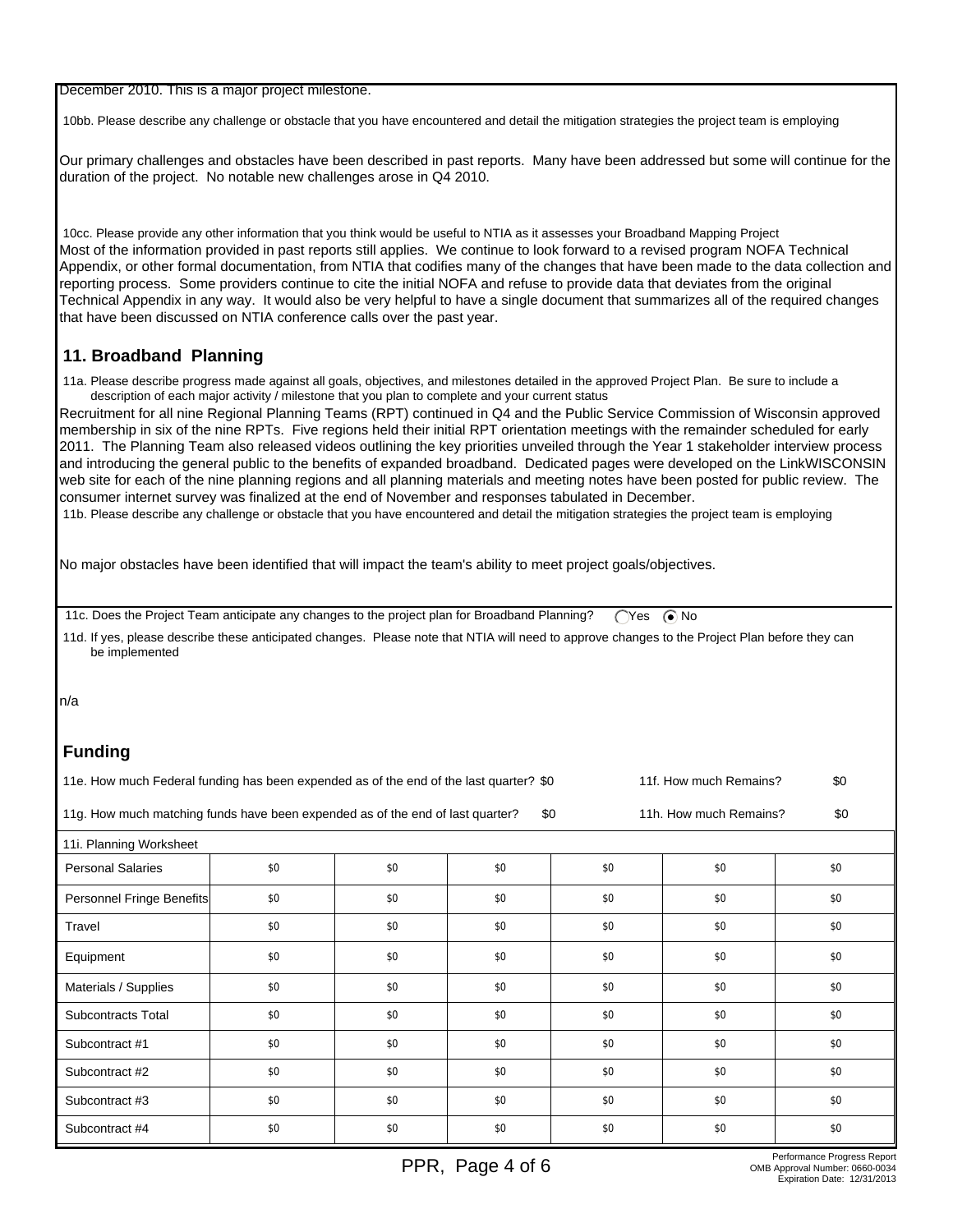December 2010. This is a major project milestone.

10bb. Please describe any challenge or obstacle that you have encountered and detail the mitigation strategies the project team is employing

Our primary challenges and obstacles have been described in past reports. Many have been addressed but some will continue for the duration of the project. No notable new challenges arose in Q4 2010.

 10cc. Please provide any other information that you think would be useful to NTIA as it assesses your Broadband Mapping Project Most of the information provided in past reports still applies. We continue to look forward to a revised program NOFA Technical Appendix, or other formal documentation, from NTIA that codifies many of the changes that have been made to the data collection and reporting process. Some providers continue to cite the initial NOFA and refuse to provide data that deviates from the original Technical Appendix in any way. It would also be very helpful to have a single document that summarizes all of the required changes that have been discussed on NTIA conference calls over the past year.

## **11. Broadband Planning**

 11a. Please describe progress made against all goals, objectives, and milestones detailed in the approved Project Plan. Be sure to include a description of each major activity / milestone that you plan to complete and your current status

Recruitment for all nine Regional Planning Teams (RPT) continued in Q4 and the Public Service Commission of Wisconsin approved membership in six of the nine RPTs. Five regions held their initial RPT orientation meetings with the remainder scheduled for early 2011. The Planning Team also released videos outlining the key priorities unveiled through the Year 1 stakeholder interview process and introducing the general public to the benefits of expanded broadband. Dedicated pages were developed on the LinkWISCONSIN web site for each of the nine planning regions and all planning materials and meeting notes have been posted for public review. The consumer internet survey was finalized at the end of November and responses tabulated in December.

11b. Please describe any challenge or obstacle that you have encountered and detail the mitigation strategies the project team is employing

No major obstacles have been identified that will impact the team's ability to meet project goals/objectives.

11c. Does the Project Team anticipate any changes to the project plan for Broadband Planning? ( $Y$ es  $\odot$  No

 11d. If yes, please describe these anticipated changes. Please note that NTIA will need to approve changes to the Project Plan before they can be implemented

n/a

## **Funding**

| 11e. How much Federal funding has been expended as of the end of the last quarter? \$0 | 11f. How much Remains? | \$0 |
|----------------------------------------------------------------------------------------|------------------------|-----|
|----------------------------------------------------------------------------------------|------------------------|-----|

11g. How much matching funds have been expended as of the end of last quarter? \$0 11h. How much Remains? \$0

| 11i. Planning Worksheet   |     |     |     |     |     |     |  |
|---------------------------|-----|-----|-----|-----|-----|-----|--|
| <b>Personal Salaries</b>  | \$0 | \$0 | \$0 | \$0 | \$0 | \$0 |  |
| Personnel Fringe Benefits | \$0 | \$0 | \$0 | \$0 | \$0 | \$0 |  |
| Travel                    | \$0 | \$0 | \$0 | \$0 | \$0 | \$0 |  |
| Equipment                 | \$0 | \$0 | \$0 | \$0 | \$0 | \$0 |  |
| Materials / Supplies      | \$0 | \$0 | \$0 | \$0 | \$0 | \$0 |  |
| Subcontracts Total        | \$0 | \$0 | \$0 | \$0 | \$0 | \$0 |  |
| Subcontract #1            | \$0 | \$0 | \$0 | \$0 | \$0 | \$0 |  |
| Subcontract #2            | \$0 | \$0 | \$0 | \$0 | \$0 | \$0 |  |
| Subcontract #3            | \$0 | \$0 | \$0 | \$0 | \$0 | \$0 |  |
| Subcontract #4            | \$0 | \$0 | \$0 | \$0 | \$0 | \$0 |  |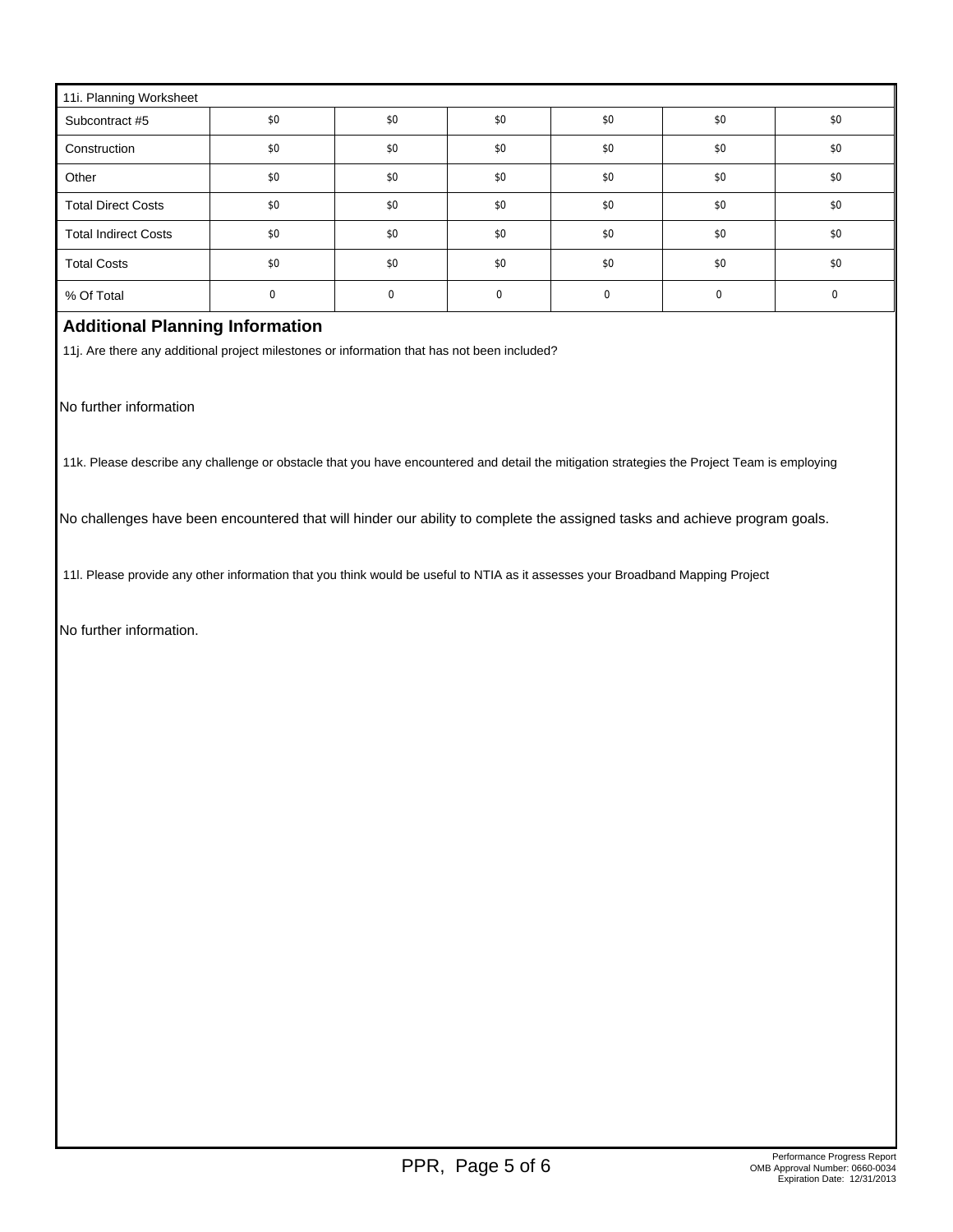| 11i. Planning Worksheet     |     |     |     |     |     |     |  |  |
|-----------------------------|-----|-----|-----|-----|-----|-----|--|--|
| Subcontract #5              | \$0 | \$0 | \$0 | \$0 | \$0 | \$0 |  |  |
| Construction                | \$0 | \$0 | \$0 | \$0 | \$0 | \$0 |  |  |
| Other                       | \$0 | \$0 | \$0 | \$0 | \$0 | \$0 |  |  |
| <b>Total Direct Costs</b>   | \$0 | \$0 | \$0 | \$0 | \$0 | \$0 |  |  |
| <b>Total Indirect Costs</b> | \$0 | \$0 | \$0 | \$0 | \$0 | \$0 |  |  |
| <b>Total Costs</b>          | \$0 | \$0 | \$0 | \$0 | \$0 | \$0 |  |  |
| % Of Total                  |     |     |     |     |     |     |  |  |

## **Additional Planning Information**

11j. Are there any additional project milestones or information that has not been included?

No further information

11k. Please describe any challenge or obstacle that you have encountered and detail the mitigation strategies the Project Team is employing

No challenges have been encountered that will hinder our ability to complete the assigned tasks and achieve program goals.

11l. Please provide any other information that you think would be useful to NTIA as it assesses your Broadband Mapping Project

No further information.